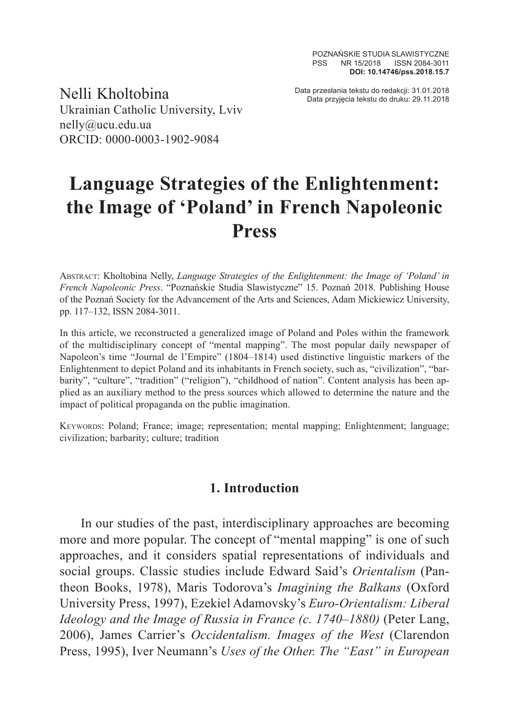Data przesłania tekstu do redakcji: 31.01.2018 Nelli Kholtobina Data przyjęcia tekstu do druku: 29.11.2018 Ukrainian Catholic University, Lviv nelly@ucu.edu.ua ORCID: 0000-0003-1902-9084

# **Language Strategies of the Enlightenment: the Image of 'Poland' in French Napoleonic Press**

Abstract: Kholtobina Nelly, *Language Strategies of the Enlightenment: the Image of 'Poland' in French Napoleonic Press*. "Poznańskie Studia Slawistyczne" 15. Poznań 2018. Publishing House of the Poznań Society for the Advancement of the Arts and Sciences, Adam Mickiewicz University, pp. 117–132, ISSN 2084-3011.

In this article, we reconstructed a generalized image of Poland and Poles within the framework of the multidisciplinary concept of "mental mapping". The most popular daily newspaper of Napoleon's time "Journal de l'Empire" (1804–1814) used distinctive linguistic markers of the Enlightenment to depict Poland and its inhabitants in French society, such as, "civilization", "barbarity", "culture", "tradition" ("religion"), "childhood of nation". Content analysis has been applied as an auxiliary method to the press sources which allowed to determine the nature and the impact of political propaganda on the public imagination.

Keywords: Poland; France; image; representation; mental mapping; Enlightenment; language; civilization; barbarity; culture; tradition

#### **1. Introduction**

In our studies of the past, interdisciplinary approaches are becoming more and more popular. The concept of "mental mapping" is one of such approaches, and it considers spatial representations of individuals and social groups. Classic studies include Edward Said's *Orientalism* (Pantheon Books, 1978), Maris Todorova's *Imagining the Balkans* (Oxford University Press, 1997), Ezekiel Adamovsky's *Euro-Orientalism: Liberal Ideology and the Image of Russia in France (c. 1740–1880)* (Peter Lang, 2006), James Carrier's *Occidentalism. Images of the West* (Clarendon Press, 1995), Iver Neumann's *Uses of the Other. The "East" in European*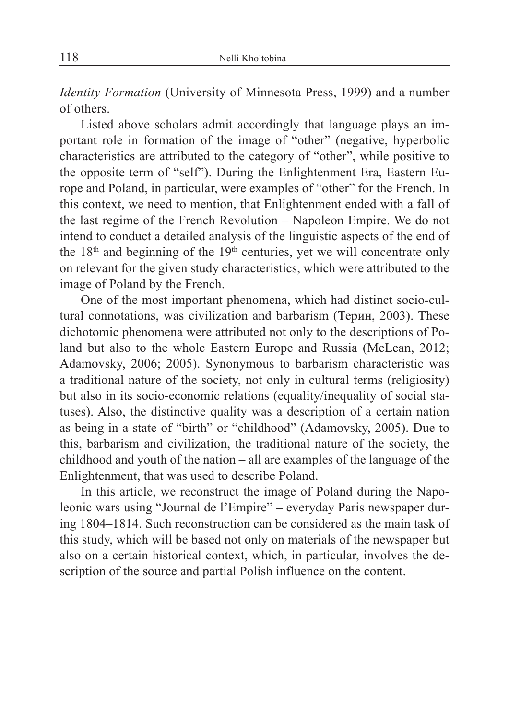*Identity Formation* (University of Minnesota Press, 1999) and a number of others.

Listed above scholars admit accordingly that language plays an important role in formation of the image of "other" (negative, hyperbolic characteristics are attributed to the category of "other", while positive to the opposite term of "self"). During the Enlightenment Era, Eastern Europe and Poland, in particular, were examples of "other" for the French. In this context, we need to mention, that Enlightenment ended with a fall of the last regime of the French Revolution – Napoleon Empire. We do not intend to conduct a detailed analysis of the linguistic aspects of the end of the  $18<sup>th</sup>$  and beginning of the  $19<sup>th</sup>$  centuries, yet we will concentrate only on relevant for the given study characteristics, which were attributed to the image of Poland by the French.

One of the most important phenomena, which had distinct socio-cultural connotations, was civilization and barbarism (Терин, 2003). These dichotomic phenomena were attributed not only to the descriptions of Poland but also to the whole Eastern Europe and Russia (McLean, 2012; Adamovsky, 2006; 2005). Synonymous to barbarism characteristic was a traditional nature of the society, not only in cultural terms (religiosity) but also in its socio-economic relations (equality/inequality of social statuses). Also, the distinctive quality was a description of a certain nation as being in a state of "birth" or "childhood" (Adamovsky, 2005). Due to this, barbarism and civilization, the traditional nature of the society, the childhood and youth of the nation – all are examples of the language of the Enlightenment, that was used to describe Poland.

In this article, we reconstruct the image of Poland during the Napoleonic wars using "Journal de l'Empire" – everyday Paris newspaper during 1804–1814. Such reconstruction can be considered as the main task of this study, which will be based not only on materials of the newspaper but also on a certain historical context, which, in particular, involves the description of the source and partial Polish influence on the content.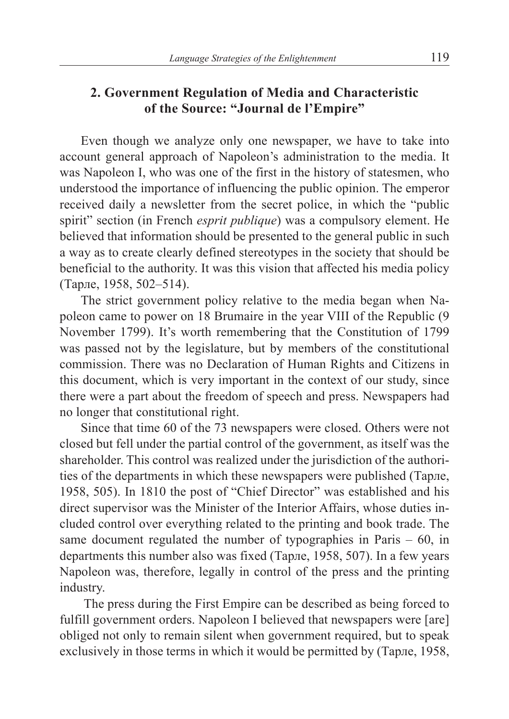## **2. Government Regulation of Media and Characteristic of the Source: "Journal de l'Empire"**

Even though we analyze only one newspaper, we have to take into account general approach of Napoleon's administration to the media. It was Napoleon I, who was one of the first in the history of statesmen, who understood the importance of influencing the public opinion. The emperor received daily a newsletter from the secret police, in which the "public spirit" section (in French *esprit publique*) was a compulsory element. He believed that information should be presented to the general public in such a way as to create clearly defined stereotypes in the society that should be beneficial to the authority. It was this vision that affected his media policy (Тарле, 1958, 502–514).

The strict government policy relative to the media began when Napoleon came to power on 18 Brumaire in the year VIII of the Republic (9 November 1799). It's worth remembering that the Constitution of 1799 was passed not by the legislature, but by members of the constitutional commission. There was no Declaration of Human Rights and Citizens in this document, which is very important in the context of our study, since there were a part about the freedom of speech and press. Newspapers had no longer that constitutional right.

Since that time 60 of the 73 newspapers were closed. Others were not closed but fell under the partial control of the government, as itself was the shareholder. This control was realized under the jurisdiction of the authorities of the departments in which these newspapers were published (Тарле, 1958, 505). In 1810 the post of "Chief Director" was established and his direct supervisor was the Minister of the Interior Affairs, whose duties included control over everything related to the printing and book trade. The same document regulated the number of typographies in Paris – 60, in departments this number also was fixed (Тарле, 1958, 507). In a few years Napoleon was, therefore, legally in control of the press and the printing industry.

 The press during the First Empire can be described as being forced to fulfill government orders. Napoleon I believed that newspapers were [are] obliged not only to remain silent when government required, but to speak exclusively in those terms in which it would be permitted by (Тарле, 1958,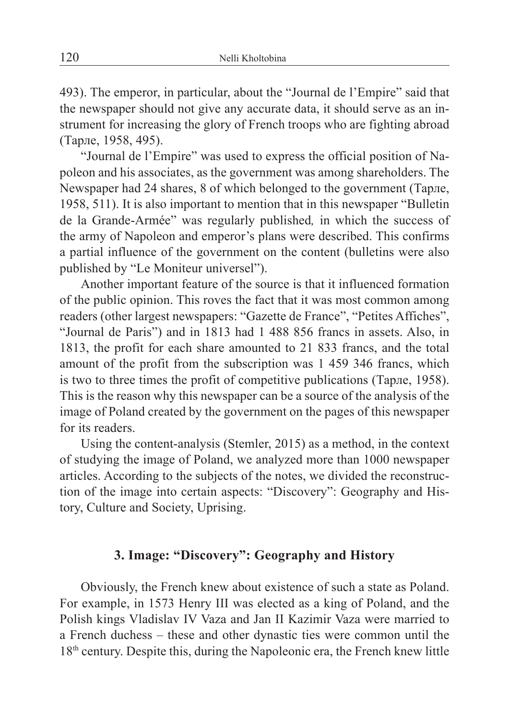493). The emperor, in particular, about the "Journal de l'Empire" said that the newspaper should not give any accurate data, it should serve as an instrument for increasing the glory of French troops who are fighting abroad (Тарле, 1958, 495).

"Journal de l'Empire" was used to express the official position of Napoleon and his associates, as the government was among shareholders. The Newspaper had 24 shares, 8 of which belonged to the government (Тарле, 1958, 511). It is also important to mention that in this newspaper "Bulletin de la Grande-Armée" was regularly published*,* in which the success of the army of Napoleon and emperor's plans were described. This confirms a partial influence of the government on the content (bulletins were also published by "Le Moniteur universel").

Another important feature of the source is that it influenced formation of the public opinion. This roves the fact that it was most common among readers (other largest newspapers: "Gazette de France", "Petites Affiches", "Journal de Paris") and in 1813 had 1 488 856 francs in assets. Also, in 1813, the profit for each share amounted to 21 833 francs, and the total amount of the profit from the subscription was 1 459 346 francs, which is two to three times the profit of competitive publications (Тарле, 1958). This is the reason why this newspaper can be a source of the analysis of the image of Poland created by the government on the pages of this newspaper for its readers.

Using the content-analysis (Stemler, 2015) as a method, in the context of studying the image of Poland, we analyzed more than 1000 newspaper articles. According to the subjects of the notes, we divided the reconstruction of the image into certain aspects: "Discovery": Geography and History, Culture and Society, Uprising.

#### **3. Image: "Discovery": Geography and History**

Obviously, the French knew about existence of such a state as Poland. For example, in 1573 Henry III was elected as a king of Poland, and the Polish kings Vladislav IV Vaza and Jan II Kazimir Vaza were married to a French duchess – these and other dynastic ties were common until the 18th century. Despite this, during the Napoleonic era, the French knew little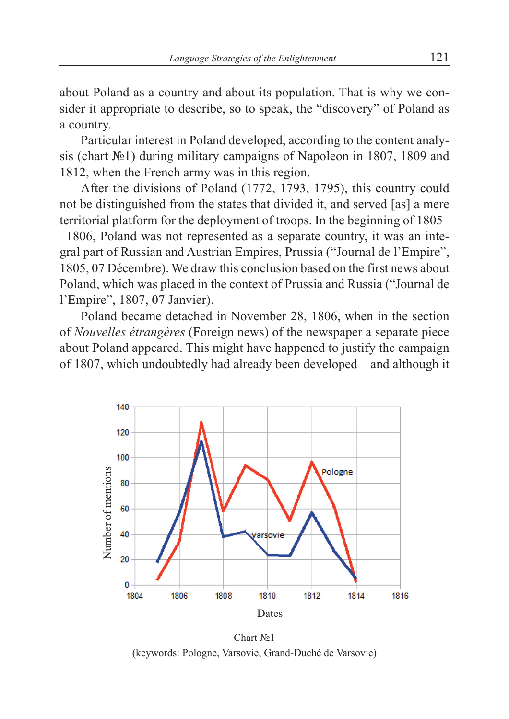about Poland as a country and about its population. That is why we consider it appropriate to describe, so to speak, the "discovery" of Poland as a country.

Particular interest in Poland developed, according to the content analysis (chart №1) during military campaigns of Napoleon in 1807, 1809 and 1812, when the French army was in this region.

After the divisions of Poland (1772, 1793, 1795), this country could not be distinguished from the states that divided it, and served [as] a mere territorial platform for the deployment of troops. In the beginning of 1805– –1806, Poland was not represented as a separate country, it was an integral part of Russian and Austrian Empires, Prussia ("Journal de l'Empire", 1805, 07 Décembre). We draw this conclusion based on the first news about Poland, which was placed in the context of Prussia and Russia ("Journal de l'Empire", 1807, 07 Janvier).

Poland became detached in November 28, 1806, when in the section of *Nouvelles étrangères* (Foreign news) of the newspaper a separate piece about Poland appeared. This might have happened to justify the campaign of 1807, which undoubtedly had already been developed – and although it



Chart №1 (keywords: Pologne, Varsovie, Grand-Duché de Varsovie)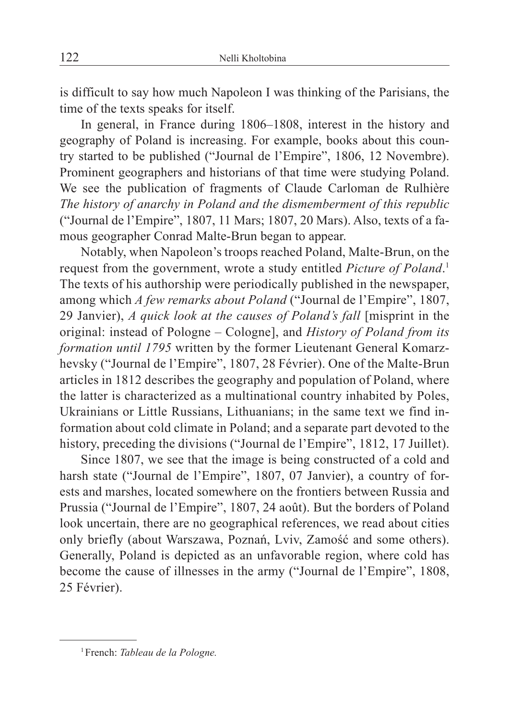is difficult to say how much Napoleon I was thinking of the Parisians, the time of the texts speaks for itself.

In general, in France during 1806–1808, interest in the history and geography of Poland is increasing. For example, books about this country started to be published ("Journal de l'Empire", 1806, 12 Novembre). Prominent geographers and historians of that time were studying Poland. We see the publication of fragments of Claude Carloman de Rulhière *The history of anarchy in Poland and the dismemberment of this republic* ("Journal de l'Empire", 1807, 11 Mars; 1807, 20 Mars). Also, texts of a famous geographer Conrad Malte-Brun began to appear.

Notably, when Napoleon's troops reached Poland, Malte-Brun, on the request from the government, wrote a study entitled *Picture of Poland*. 1 The texts of his authorship were periodically published in the newspaper, among which *A few remarks about Poland* ("Journal de l'Empire", 1807, 29 Janvier), *A quick look at the causes of Poland's fall* [misprint in the original: instead of Pologne – Cologne], and *History of Poland from its formation until 1795* written by the former Lieutenant General Komarzhevsky ("Journal de l'Empire", 1807, 28 Février). One of the Malte-Brun articles in 1812 describes the geography and population of Poland, where the latter is characterized as a multinational country inhabited by Poles, Ukrainians or Little Russians, Lithuanians; in the same text we find information about cold climate in Poland; and a separate part devoted to the history, preceding the divisions ("Journal de l'Empire", 1812, 17 Juillet).

Since 1807, we see that the image is being constructed of a cold and harsh state ("Journal de l'Empire", 1807, 07 Janvier), a country of forests and marshes, located somewhere on the frontiers between Russia and Prussia ("Journal de l'Empire", 1807, 24 août). But the borders of Poland look uncertain, there are no geographical references, we read about cities only briefly (about Warszawa, Poznań, Lviv, Zamość and some others). Generally, Poland is depicted as an unfavorable region, where cold has become the cause of illnesses in the army ("Journal de l'Empire", 1808, 25 Février).

<sup>1</sup>French: *Tableau de la Pologne.*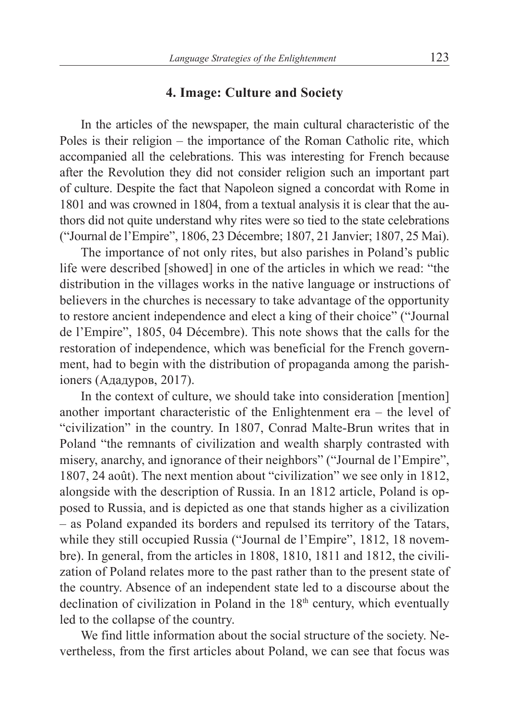#### **4. Image: Culture and Society**

In the articles of the newspaper, the main cultural characteristic of the Poles is their religion – the importance of the Roman Catholic rite, which accompanied all the celebrations. This was interesting for French because after the Revolution they did not consider religion such an important part of culture. Despite the fact that Napoleon signed a concordat with Rome in 1801 and was crowned in 1804, from a textual analysis it is clear that the authors did not quite understand why rites were so tied to the state celebrations ("Journal de l'Empire", 1806, 23 Décembre; 1807, 21 Janvier; 1807, 25 Маі).

The importance of not only rites, but also parishes in Poland's public life were described [showed] in one of the articles in which we read: "the distribution in the villages works in the native language or instructions of believers in the churches is necessary to take advantage of the opportunity to restore ancient independence and elect a king of their choice" ("Journal de l'Empire", 1805, 04 Décembre). This note shows that the calls for the restoration of independence, which was beneficial for the French government, had to begin with the distribution of propaganda among the parishioners (Ададуров, 2017).

In the context of culture, we should take into consideration [mention] another important characteristic of the Enlightenment era – the level of "civilization" in the country. In 1807, Conrad Malte-Brun writes that in Poland "the remnants of civilization and wealth sharply contrasted with misery, anarchy, and ignorance of their neighbors" ("Journal de l'Empire", 1807, 24 août). The next mention about "civilization" we see only in 1812, alongside with the description of Russia. In an 1812 article, Poland is opposed to Russia, and is depicted as one that stands higher as a civilization – as Poland expanded its borders and repulsed its territory of the Tatars, while they still occupied Russia ("Journal de l'Empire", 1812, 18 novembre). In general, from the articles in 1808, 1810, 1811 and 1812, the civilization of Poland relates more to the past rather than to the present state of the country. Absence of an independent state led to a discourse about the declination of civilization in Poland in the  $18<sup>th</sup>$  century, which eventually led to the collapse of the country.

We find little information about the social structure of the society. Nevertheless, from the first articles about Poland, we can see that focus was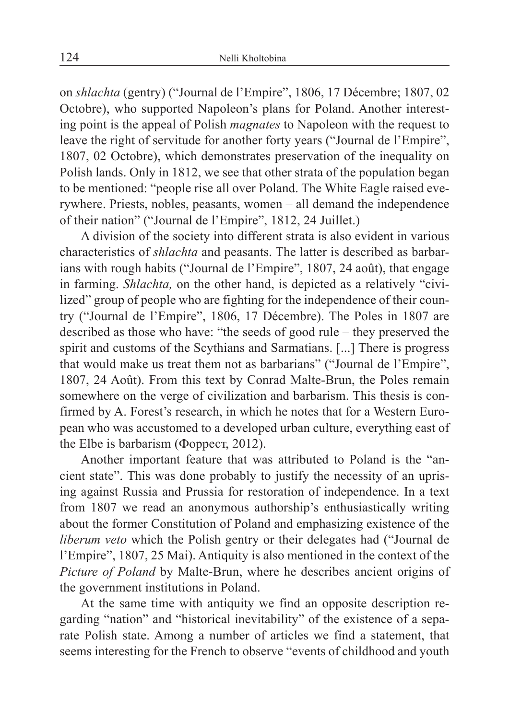on *shlachta* (gentry) ("Journal de l'Empire", 1806, 17 Décembre; 1807, 02 Octobre), who supported Napoleon's plans for Poland. Another interesting point is the appeal of Polish *magnates* to Napoleon with the request to leave the right of servitude for another forty years ("Journal de l'Empire", 1807, 02 Octobre), which demonstrates preservation of the inequality on Polish lands. Only in 1812, we see that other strata of the population began to be mentioned: "people rise all over Poland. The White Eagle raised everywhere. Priests, nobles, peasants, women – all demand the independence of their nation" ("Journal de l'Empire", 1812, 24 Juillet.)

A division of the society into different strata is also evident in various characteristics of *shlachta* and peasants. The latter is described as barbarians with rough habits ("Journal de l'Empire", 1807, 24 août), that engage in farming. *Shlachta,* on the other hand, is depicted as a relatively "civilized" group of people who are fighting for the independence of their country ("Journal de l'Empire", 1806, 17 Décembre). The Poles in 1807 are described as those who have: "the seeds of good rule – they preserved the spirit and customs of the Scythians and Sarmatians. [...] There is progress that would make us treat them not as barbarians" ("Journal de l'Empire", 1807, 24 Août). From this text by Conrad Malte-Brun, the Poles remain somewhere on the verge of civilization and barbarism. This thesis is confirmed by A. Forest's research, in which he notes that for a Western European who was accustomed to a developed urban culture, everything east of the Elbe is barbarism (Форрест, 2012).

Another important feature that was attributed to Poland is the "ancient state". This was done probably to justify the necessity of an uprising against Russia and Prussia for restoration of independence. In a text from 1807 we read an anonymous authorship's enthusiastically writing about the former Constitution of Poland and emphasizing existence of the *liberum veto* which the Polish gentry or their delegates had ("Journal de l'Empire", 1807, 25 Маі). Antiquity is also mentioned in the context of the *Picture of Poland* by Malte-Brun, where he describes ancient origins of the government institutions in Poland.

At the same time with antiquity we find an opposite description regarding "nation" and "historical inevitability" of the existence of a separate Polish state. Among a number of articles we find a statement, that seems interesting for the French to observe "events of childhood and youth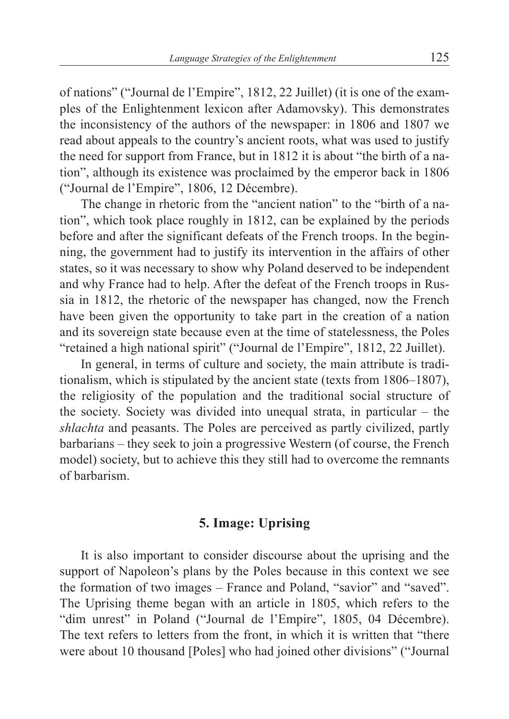of nations" ("Journal de l'Empire", 1812, 22 Juillet) (it is one of the examples of the Enlightenment lexicon after Adamovsky). This demonstrates the inconsistency of the authors of the newspaper: in 1806 and 1807 we read about appeals to the country's ancient roots, what was used to justify the need for support from France, but in 1812 it is about "the birth of a nation", although its existence was proclaimed by the emperor back in 1806 ("Journal de l'Empire", 1806, 12 Décembre).

The change in rhetoric from the "ancient nation" to the "birth of a nation", which took place roughly in 1812, can be explained by the periods before and after the significant defeats of the French troops. In the beginning, the government had to justify its intervention in the affairs of other states, so it was necessary to show why Poland deserved to be independent and why France had to help. After the defeat of the French troops in Russia in 1812, the rhetoric of the newspaper has changed, now the French have been given the opportunity to take part in the creation of a nation and its sovereign state because even at the time of statelessness, the Poles "retained a high national spirit" ("Journal de l'Empire", 1812, 22 Juillet).

In general, in terms of culture and society, the main attribute is traditionalism, which is stipulated by the ancient state (texts from 1806–1807), the religiosity of the population and the traditional social structure of the society. Society was divided into unequal strata, in particular – the *shlachta* and peasants. The Poles are perceived as partly civilized, partly barbarians – they seek to join a progressive Western (of course, the French model) society, but to achieve this they still had to overcome the remnants of barbarism.

### **5. Image: Uprising**

It is also important to consider discourse about the uprising and the support of Napoleon's plans by the Poles because in this context we see the formation of two images – France and Poland, "savior" and "saved". The Uprising theme began with an article in 1805, which refers to the "dim unrest" in Poland ("Journal de l'Empire", 1805, 04 Décembre). The text refers to letters from the front, in which it is written that "there were about 10 thousand [Poles] who had joined other divisions" ("Journal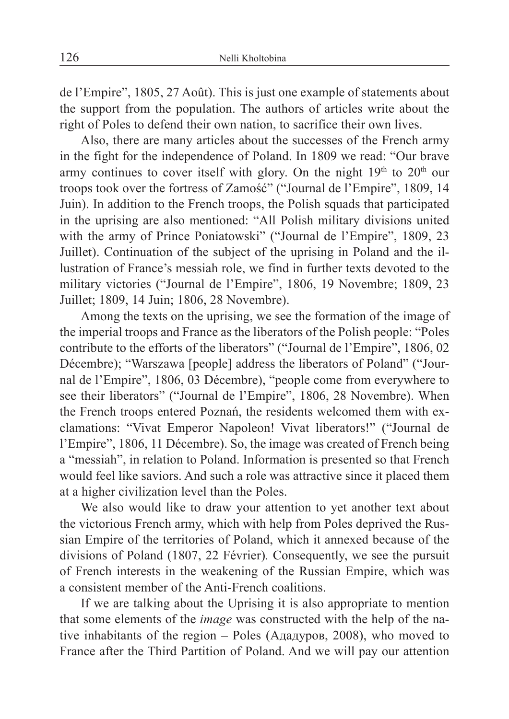de l'Empire", 1805, 27 Août). This is just one example of statements about the support from the population. The authors of articles write about the right of Poles to defend their own nation, to sacrifice their own lives.

Also, there are many articles about the successes of the French army in the fight for the independence of Poland. In 1809 we read: "Our brave army continues to cover itself with glory. On the night  $19<sup>th</sup>$  to  $20<sup>th</sup>$  our troops took over the fortress of Zamość" ("Journal de l'Empire", 1809, 14 Juin). In addition to the French troops, the Polish squads that participated in the uprising are also mentioned: "All Polish military divisions united with the army of Prince Poniatowski" ("Journal de l'Empire", 1809, 23 Juillet). Continuation of the subject of the uprising in Poland and the illustration of France's messiah role, we find in further texts devoted to the military victories ("Journal de l'Empire", 1806, 19 Novembre; 1809, 23 Juillet; 1809, 14 Juin; 1806, 28 Novembre).

Among the texts on the uprising, we see the formation of the image of the imperial troops and France as the liberators of the Polish people: "Poles contribute to the efforts of the liberators" ("Journal de l'Empire", 1806, 02 Décembre); "Warszawa [people] address the liberators of Poland" ("Journal de l'Empire", 1806, 03 Décembre), "people come from everywhere to see their liberators" ("Journal de l'Empire", 1806, 28 Novembre). When the French troops entered Poznań, the residents welcomed them with exclamations: "Vivat Emperor Napoleon! Vivat liberators!" ("Journal de l'Empire", 1806, 11 Décembre). So, the image was created of French being a "messiah", in relation to Poland. Information is presented so that French would feel like saviors. And such a role was attractive since it placed them at a higher civilization level than the Poles.

We also would like to draw your attention to yet another text about the victorious French army, which with help from Poles deprived the Russian Empire of the territories of Poland, which it annexed because of the divisions of Poland (1807, 22 Février)*.* Consequently, we see the pursuit of French interests in the weakening of the Russian Empire, which was a consistent member of the Anti-French coalitions.

If we are talking about the Uprising it is also appropriate to mention that some elements of the *image* was constructed with the help of the native inhabitants of the region – Poles (Ададуров, 2008), who moved to France after the Third Partition of Poland. And we will pay our attention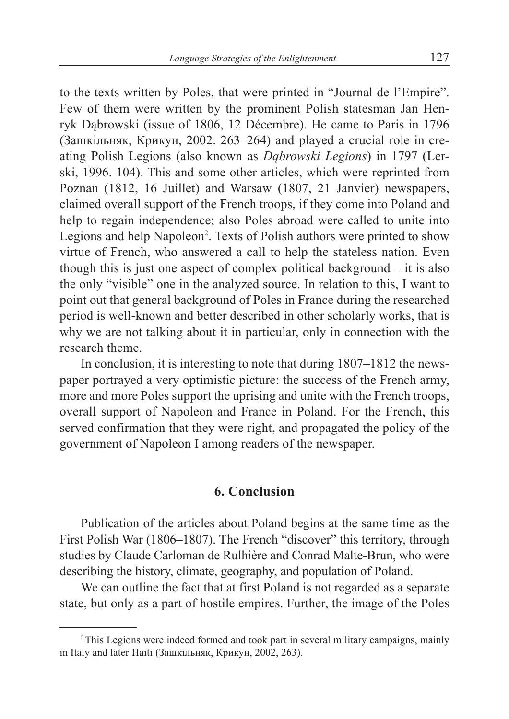to the texts written by Poles, that were printed in "Journal de l'Empire". Few of them were written by the prominent Polish statesman Jan Henryk Dąbrowski (issue of 1806, 12 Décembre). He came to Paris in 1796 (Зашкільняк, Крикун, 2002. 263–264) and played a crucial role in creating Polish Legions (also known as *Dąbrowski Legions*) in 1797 (Lerski, 1996. 104). This and some other articles, which were reprinted from Poznan (1812, 16 Juillet) and Warsaw (1807, 21 Janvier) newspapers, claimed overall support of the French troops, if they come into Poland and help to regain independence; also Poles abroad were called to unite into Legions and help Napoleon<sup>2</sup>. Texts of Polish authors were printed to show virtue of French, who answered a call to help the stateless nation. Even though this is just one aspect of complex political background – it is also the only "visible" one in the analyzed source. In relation to this, I want to point out that general background of Poles in France during the researched period is well-known and better described in other scholarly works, that is why we are not talking about it in particular, only in connection with the research theme.

In conclusion, it is interesting to note that during 1807–1812 the newspaper portrayed a very optimistic picture: the success of the French army, more and more Poles support the uprising and unite with the French troops, overall support of Napoleon and France in Poland. For the French, this served confirmation that they were right, and propagated the policy of the government of Napoleon I among readers of the newspaper.

#### **6. Conclusion**

Publication of the articles about Poland begins at the same time as the First Polish War (1806–1807). The French "discover" this territory, through studies by Claude Carloman de Rulhière and Conrad Malte-Brun, who were describing the history, climate, geography, and population of Poland.

We can outline the fact that at first Poland is not regarded as a separate state, but only as a part of hostile empires. Further, the image of the Poles

<sup>2</sup>This Legions were indeed formed and took part in several military campaigns, mainly in Italy and later Haiti (Зашкільняк, Крикун, 2002, 263).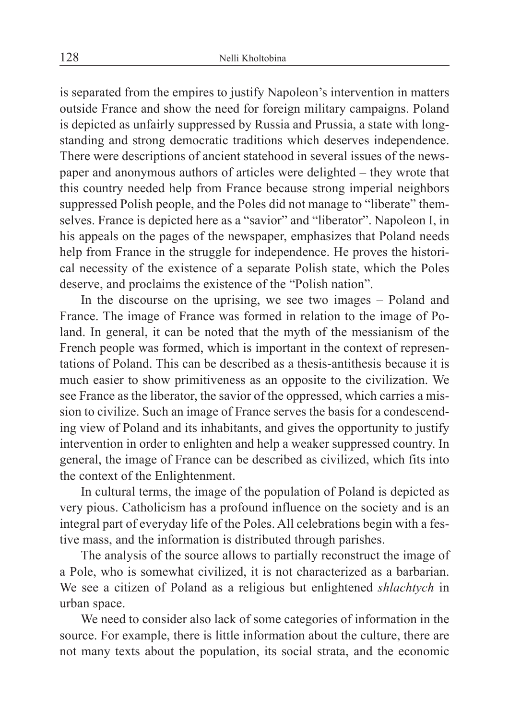is separated from the empires to justify Napoleon's intervention in matters outside France and show the need for foreign military campaigns. Poland is depicted as unfairly suppressed by Russia and Prussia, a state with longstanding and strong democratic traditions which deserves independence. There were descriptions of ancient statehood in several issues of the newspaper and anonymous authors of articles were delighted – they wrote that this country needed help from France because strong imperial neighbors suppressed Polish people, and the Poles did not manage to "liberate" themselves. France is depicted here as a "savior" and "liberator". Napoleon I, in his appeals on the pages of the newspaper, emphasizes that Poland needs help from France in the struggle for independence. He proves the historical necessity of the existence of a separate Polish state, which the Poles deserve, and proclaims the existence of the "Polish nation".

In the discourse on the uprising, we see two images – Poland and France. The image of France was formed in relation to the image of Poland. In general, it can be noted that the myth of the messianism of the French people was formed, which is important in the context of representations of Poland. This can be described as a thesis-antithesis because it is much easier to show primitiveness as an opposite to the civilization. We see France as the liberator, the savior of the oppressed, which carries a mission to civilize. Such an image of France serves the basis for a condescending view of Poland and its inhabitants, and gives the opportunity to justify intervention in order to enlighten and help a weaker suppressed country. In general, the image of France can be described as civilized, which fits into the context of the Enlightenment.

In cultural terms, the image of the population of Poland is depicted as very pious. Catholicism has a profound influence on the society and is an integral part of everyday life of the Poles. All celebrations begin with a festive mass, and the information is distributed through parishes.

The analysis of the source allows to partially reconstruct the image of a Pole, who is somewhat civilized, it is not characterized as a barbarian. We see a citizen of Poland as a religious but enlightened *shlachtych* in urban space.

We need to consider also lack of some categories of information in the source. For example, there is little information about the culture, there are not many texts about the population, its social strata, and the economic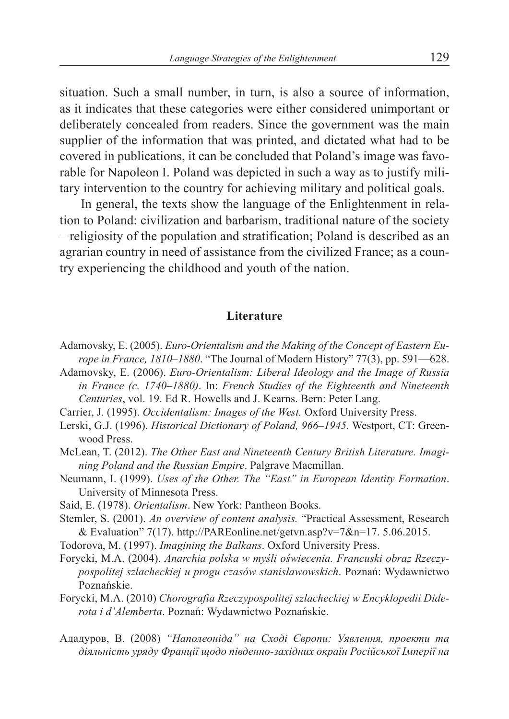situation. Such a small number, in turn, is also a source of information, as it indicates that these categories were either considered unimportant or deliberately concealed from readers. Since the government was the main supplier of the information that was printed, and dictated what had to be covered in publications, it can be concluded that Poland's image was favorable for Napoleon I. Poland was depicted in such a way as to justify military intervention to the country for achieving military and political goals.

In general, the texts show the language of the Enlightenment in relation to Poland: civilization and barbarism, traditional nature of the society – religiosity of the population and stratification; Poland is described as an agrarian country in need of assistance from the civilized France; as a country experiencing the childhood and youth of the nation.

#### **Literature**

- Adamovsky, E. (2005). *Euro*-*Orientalism and the Making of the Concept of Eastern Europe in France, 1810–1880*. "The Journal of Modern History" 77(3), pp. 591––628.
- Adamovsky, E. (2006). *Euro-Orientalism: Liberal Ideology and the Image of Russia in France (c. 1740–1880)*. In: *French Studies of the Eighteenth and Nineteenth Centuries*, vol. 19. Ed R. Howells and J. Kearns. Bern: Peter Lang.
- Carrier, J. (1995). *Occidentalism: Images of the West.* Oxford University Press.
- Lerski, G.J. (1996). *Historical Dictionary of Poland, 966–1945.* Westport, CT: Greenwood Press.
- McLean, T. (2012). *The Other East and Nineteenth Century British Literature. Imagining Poland and the Russian Empire*. Palgrave Macmillan.
- Neumann, I. (1999). *Uses of the Other. The "East" in European Identity Formation*. University of Minnesota Press.
- Said, E. (1978). *Orientalism*. New York: Pantheon Books.
- Stemler, S. (2001). *An overview of content analysis.* "Practical Assessment, Research & Evaluation" 7(17). http://PAREonline.net/getvn.asp?v=7&n=17. 5.06.2015.
- Todorova, M. (1997). *Imagining the Balkans*. Oxford University Press.
- Forycki, M.A. (2004). *Anarchia polska w myśli oświecenia. Francuski obraz Rzeczypospolitej szlacheckiej u progu czasów stanisławowskich*. Poznań: Wydawnictwo Poznańskie.
- Forycki, M.A. (2010) *Chorografia Rzeczypospolitej szlacheckiej w Encyklopedii Diderota i d'Alemberta*. Poznań: Wydawnictwo Poznańskie.
- Ададуров, В. (2008) *"Наполеоніда" на Сході Європи: Уявлення, проекти та діяльність уряду Франції щодо південно-західних окраїн Російської Імперії на*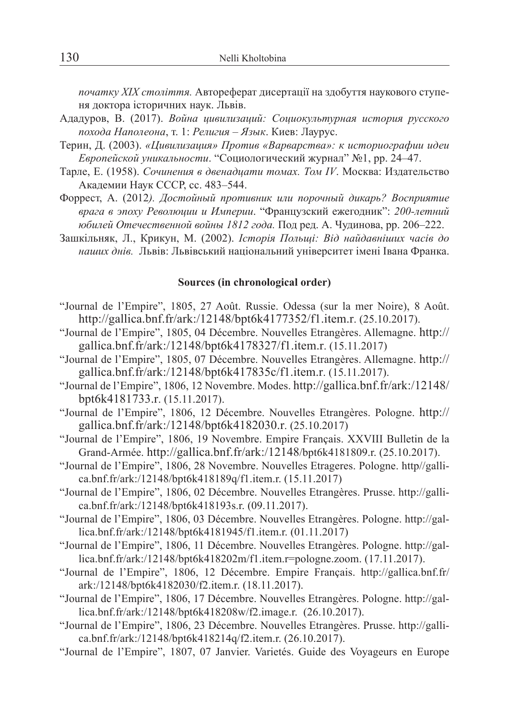*початку ХІХ століття.* Автореферат дисертації на здобуття наукового ступеня доктора історичних наук. Львів.

- Ададуров, В. (2017). *Война цивилизаций: Социокультурная история русского похода Наполеона*, т. 1: *Религия – Язык*. Киев: Лаурус.
- Терин, Д. (2003). *«Цивилизация» Против «Варварства»: к историографии идеи Европейской уникальности*. "Социологический журнал" №1, pp. 24–47.
- Тарле, Е. (1958). *Сочинения в двенадцати томах. Том IV*. Москва: Издательство Академии Наук СССР, сс. 483–544.
- Форрест, А. (2012*). Достойный противник или порочный дикарь? Восприятие врага в эпоху Революции и Империи*. "Французский ежегодник": *200-летний юбилей Отечественной войны 1812 года.* Под ред. А. Чудинова, pp. 206–222.
- Зашкільняк, Л., Крикун, М. (2002). *Історія Польщі: Від найдавніших часів до наших днів.* Львів: Львівський національний університет імені Івана Франка.

#### **Sources (in chronological order)**

- "Journal de l'Empire", 1805, 27 Août. Russie. Odessa (sur la mer Noire), 8 Août. http://gallica.bnf.fr/ark:/12148/bpt6k4177352/f1.item.r. (25.10.2017).
- "Journal de l'Empire", 1805, 04 Décembre. Nouvelles Etrangères. Allemagne. http:// gallica.bnf.fr/ark:/12148/bpt6k4178327/f1.item.r. (15.11.2017)
- "Journal de l'Empire", 1805, 07 Décembre. Nouvelles Etrangères. Allemagne. http:// gallica.bnf.fr/ark:/12148/bpt6k417835c/f1.item.r. (15.11.2017).
- "Journal de l'Empire", 1806, 12 Novembre. Modes. http://gallica.bnf.fr/ark:/12148/ bpt6k4181733.r. (15.11.2017).
- "Journal de l'Empire", 1806, 12 Décembre. Nouvelles Etrangères. Pologne. http:// gallica.bnf.fr/ark:/12148/bpt6k4182030.r. (25.10.2017)
- "Journal de l'Empire", 1806, 19 Novembre. Empire Français. XXVIII Bulletin de la Grand-Armée. http://gallica.bnf.fr/ark:/12148/bpt6k4181809.r. (25.10.2017).
- "Journal de l'Empire", 1806, 28 Novembre. Nouvelles Etrageres. Pologne. http//gallica.bnf.fr/ark:/12148/bpt6k418189q/f1.item.r. (15.11.2017)
- "Journal de l'Empire", 1806, 02 Décembre. Nouvelles Etrangères. Prusse. http://gallica.bnf.fr/ark:/12148/bpt6k418193s.r. (09.11.2017).
- "Journal de l'Empire", 1806, 03 Décembre. Nouvelles Etrangères. Pologne. http://gallica.bnf.fr/ark:/12148/bpt6k4181945/f1.item.r. (01.11.2017)
- "Journal de l'Empire", 1806, 11 Décembre. Nouvelles Etrangères. Pologne. http://gallica.bnf.fr/ark:/12148/bpt6k418202m/f1.item.r=pologne.zoom. (17.11.2017).
- "Journal de l'Empire", 1806, 12 Décembre. Empire Français. http://gallica.bnf.fr/ ark:/12148/bpt6k4182030/f2.item.r. (18.11.2017).
- "Journal de l'Empire", 1806, 17 Décembre. Nouvelles Etrangères. Pologne. http://gallica.bnf.fr/ark:/12148/bpt6k418208w/f2.image.r. (26.10.2017).
- "Journal de l'Empire", 1806, 23 Décembre. Nouvelles Etrangères. Prusse. http://gallica.bnf.fr/ark:/12148/bpt6k418214q/f2.item.r. (26.10.2017).
- "Journal de l'Empire", 1807, 07 Janvier. Varietés. Guide des Voyageurs en Europe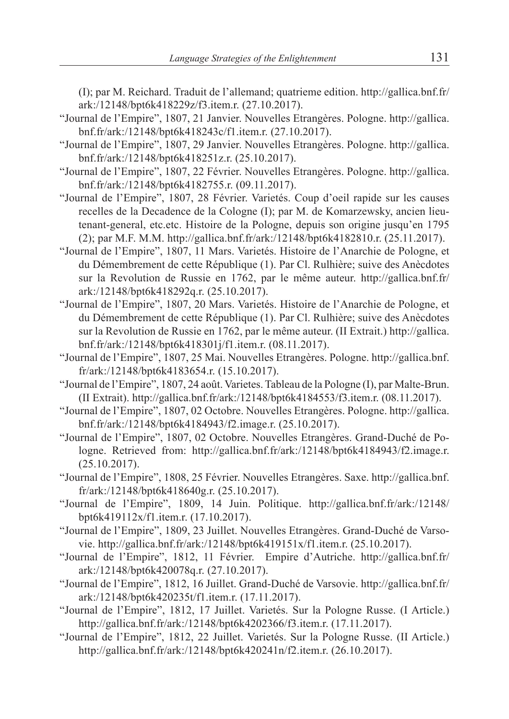(I); par M. Reichard. Traduit de l'allemand; quatrieme edition. http://gallica.bnf.fr/ ark:/12148/bpt6k418229z/f3.item.r. (27.10.2017).

- "Journal de l'Empire", 1807, 21 Janvier. Nouvelles Etrangères. Pologne. http://gallica. bnf.fr/ark:/12148/bpt6k418243c/f1.item.r. (27.10.2017).
- "Journal de l'Empire", 1807, 29 Janvier. Nouvelles Etrangères. Pologne. http://gallica. bnf.fr/ark:/12148/bpt6k418251z.r. (25.10.2017).
- "Journal de l'Empire", 1807, 22 Février. Nouvelles Etrangères. Pologne. http://gallica. bnf.fr/ark:/12148/bpt6k4182755.r. (09.11.2017).
- "Journal de l'Empire", 1807, 28 Février. Varietés. Coup d'oeil rapide sur les causes recelles de la Decadence de la Cologne (I); par M. de Komarzewsky, ancien lieutenant-general, etc.etc. Histoire de la Pologne, depuis son origine jusqu'en 1795 (2); par M.F. M.M. http://gallica.bnf.fr/ark:/12148/bpt6k4182810.r. (25.11.2017).
- "Journal de l'Empire", 1807, 11 Mars. Varietés. Histoire de l'Anarchie de Pologne, et du Démembrement de cette République (1). Par Cl. Rulhière; suive des Anècdotes sur la Revolution de Russie en 1762, par le même auteur. http://gallica.bnf.fr/ ark:/12148/bpt6k418292q.r. (25.10.2017).
- "Journal de l'Empire", 1807, 20 Mars. Varietés. Histoire de l'Anarchie de Pologne, et du Démembrement de cette République (1). Par Cl. Rulhière; suive des Anècdotes sur la Revolution de Russie en 1762, par le même auteur. (II Extrait.) http://gallica. bnf.fr/ark:/12148/bpt6k418301j/f1.item.r. (08.11.2017).
- "Journal de l'Empire", 1807, 25 Маі. Nouvelles Etrangères. Pologne. http://gallica.bnf. fr/ark:/12148/bpt6k4183654.r. (15.10.2017).
- "Journal de l'Empire", 1807, 24 août. Varietes. Tableau de la Pologne (I), par Malte-Brun. (II Extrait). http://gallica.bnf.fr/ark:/12148/bpt6k4184553/f3.item.r. (08.11.2017).
- "Journal de l'Empire", 1807, 02 Octobre. Nouvelles Etrangères. Pologne. http://gallica. bnf.fr/ark:/12148/bpt6k4184943/f2.image.r. (25.10.2017).
- "Journal de l'Empire", 1807, 02 Octobre. Nouvelles Etrangères. Grand-Duché de Pologne. Retrieved from: http://gallica.bnf.fr/ark:/12148/bpt6k4184943/f2.image.r. (25.10.2017).
- "Journal de l'Empire", 1808, 25 Février. Nouvelles Etrangères. Saxe. http://gallica.bnf. fr/ark:/12148/bpt6k418640g.r. (25.10.2017).
- "Journal de l'Empire", 1809, 14 Juin. Politique. http://gallica.bnf.fr/ark:/12148/ bpt6k419112x/f1.item.r. (17.10.2017).
- "Journal de l'Empire", 1809, 23 Juillet. Nouvelles Etrangères. Grand-Duché de Varsovie. http://gallica.bnf.fr/ark:/12148/bpt6k419151x/f1.item.r. (25.10.2017).
- "Journal de l'Empire", 1812, 11 Février. Empire d'Autriche. http://gallica.bnf.fr/ ark:/12148/bpt6k420078q.r. (27.10.2017).
- "Journal de l'Empire", 1812, 16 Juillet. Grand-Duché de Varsovie. http://gallica.bnf.fr/ ark:/12148/bpt6k420235t/f1.item.r. (17.11.2017).
- "Journal de l'Empire", 1812, 17 Juillet. Varietés. Sur la Pologne Russe. (I Article.) http://gallica.bnf.fr/ark:/12148/bpt6k4202366/f3.item.r. (17.11.2017).
- "Journal de l'Empire", 1812, 22 Juillet. Varietés. Sur la Pologne Russe. (II Article.) http://gallica.bnf.fr/ark:/12148/bpt6k420241n/f2.item.r. (26.10.2017).